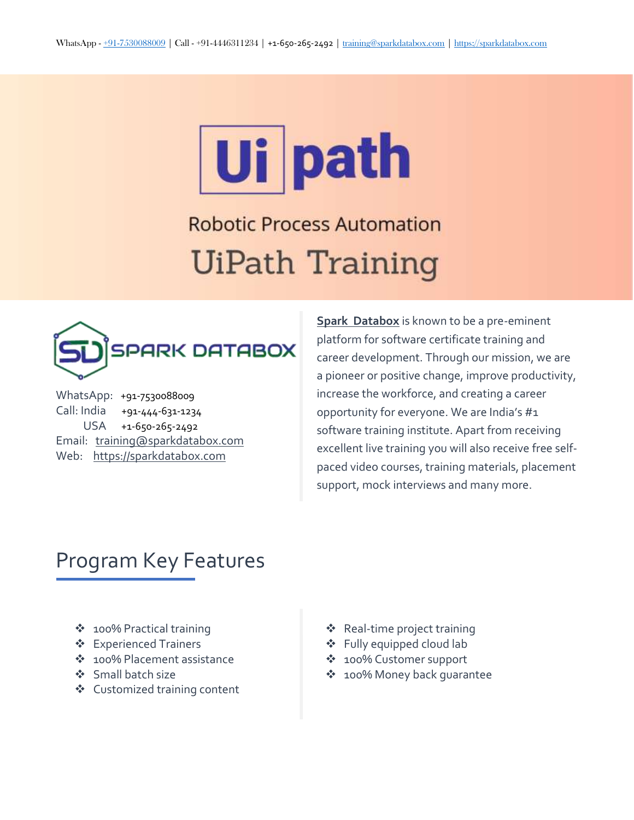# Ui path

**Robotic Process Automation UiPath Training** 



WhatsApp: [+91-7530088009](https://wa.me/917530088009) Call: India [+91-444-631-1234](tel:%20+91-444-631-1234) USA [+1-650-265-2492](tel:%20+1-650-265-2492) Email: [training@sparkdatabox.com](mailto:training@sparkdatabox.com?subject=Training%20enquiry) Web: [https://sparkdatabox.com](https://sparkdatabox.com/)

**Spark [Databox](http://www.sparkdatabox.com/)** is known to be a pre-eminent platform for software certificate training and career development. Through our mission, we are a pioneer or positive change, improve productivity, increase the workforce, and creating a career opportunity for everyone. We are India's #1 software training institute. Apart from receiving excellent live training you will also receive free selfpaced video courses, training materials, placement support, mock interviews and many more.

# Program Key Features

- ◆ 100% Practical training
- **❖** Experienced Trainers
- 100% Placement assistance
- Small batch size
- Customized training content
- Real-time project training
- Fully equipped cloud lab
- 100% Customer support
- 100% Money back guarantee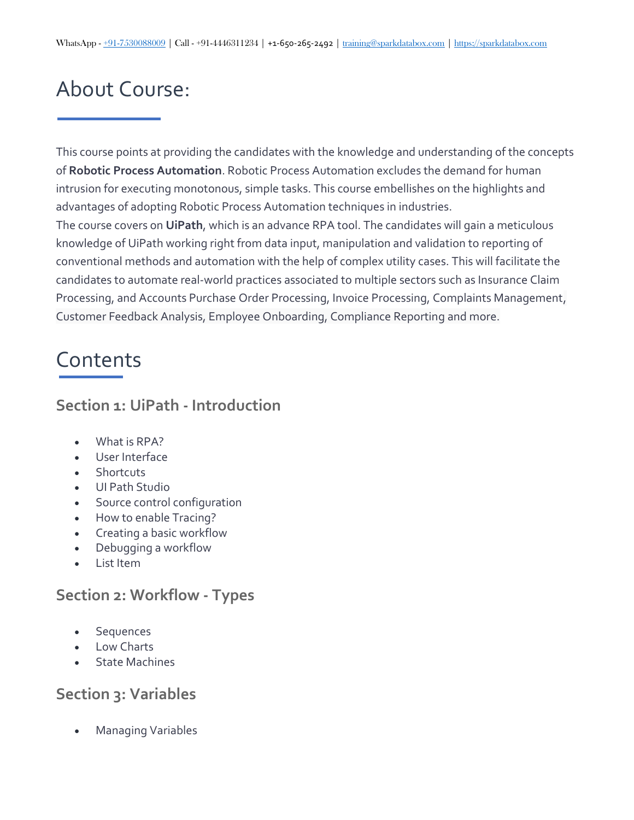# About Course:

This course points at providing the candidates with the knowledge and understanding of the concepts of **Robotic Process Automation**. Robotic Process Automation excludes the demand for human intrusion for executing monotonous, simple tasks. This course embellishes on the highlights and advantages of adopting Robotic Process Automation techniques in industries. The course covers on **UiPath**, which is an advance RPA tool. The candidates will gain a meticulous knowledge of UiPath working right from data input, manipulation and validation to reporting of conventional methods and automation with the help of complex utility cases. This will facilitate the candidates to automate real-world practices associated to multiple sectors such as Insurance Claim Processing, and Accounts Purchase Order Processing, Invoice Processing, Complaints Management, Customer Feedback Analysis, Employee Onboarding, Compliance Reporting and more.

# Contents

### **Section 1: UiPath - Introduction**

- What is RPA?
- User Interface
- Shortcuts
- UI Path Studio
- **•** Source control configuration
- How to enable Tracing?
- Creating a basic workflow
- Debugging a workflow
- List Item

# **Section 2: Workflow - Types**

- **Sequences**
- Low Charts
- State Machines

# **Section 3: Variables**

Managing Variables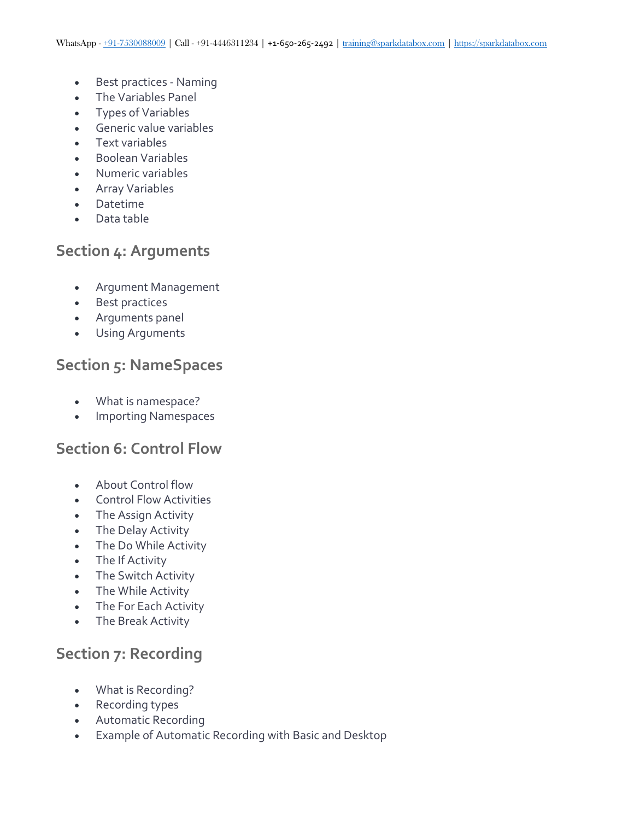- Best practices Naming
- The Variables Panel
- Types of Variables
- Generic value variables
- Text variables
- Boolean Variables
- Numeric variables
- Array Variables
- Datetime
- Data table

#### **Section 4: Arguments**

- Argument Management
- Best practices
- Arguments panel
- Using Arguments

#### **Section 5: NameSpaces**

- What is namespace?
- Importing Namespaces

#### **Section 6: Control Flow**

- About Control flow
- Control Flow Activities
- The Assign Activity
- The Delay Activity
- The Do While Activity
- The If Activity
- The Switch Activity
- The While Activity
- The For Each Activity
- The Break Activity

# **Section 7: Recording**

- What is Recording?
- Recording types
- Automatic Recording
- Example of Automatic Recording with Basic and Desktop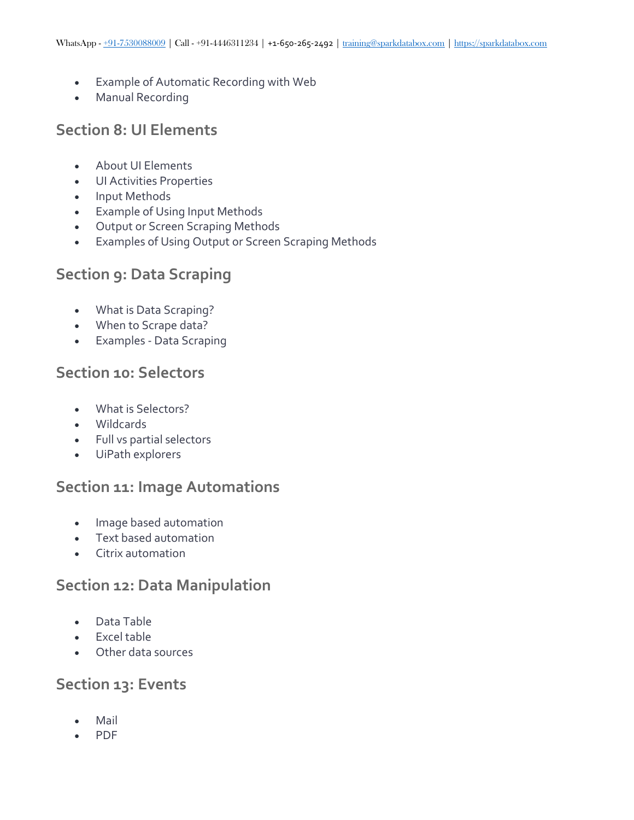- Example of Automatic Recording with Web
- Manual Recording

## **Section 8: UI Elements**

- About UI Elements
- UI Activities Properties
- Input Methods
- Example of Using Input Methods
- Output or Screen Scraping Methods
- Examples of Using Output or Screen Scraping Methods

# **Section 9: Data Scraping**

- What is Data Scraping?
- When to Scrape data?
- Examples Data Scraping

#### **Section 10: Selectors**

- What is Selectors?
- Wildcards
- Full vs partial selectors
- UiPath explorers

#### **Section 11: Image Automations**

- Image based automation
- Text based automation
- Citrix automation

#### **Section 12: Data Manipulation**

- Data Table
- Excel table
- Other data sources

#### **Section 13: Events**

- Mail
- PDF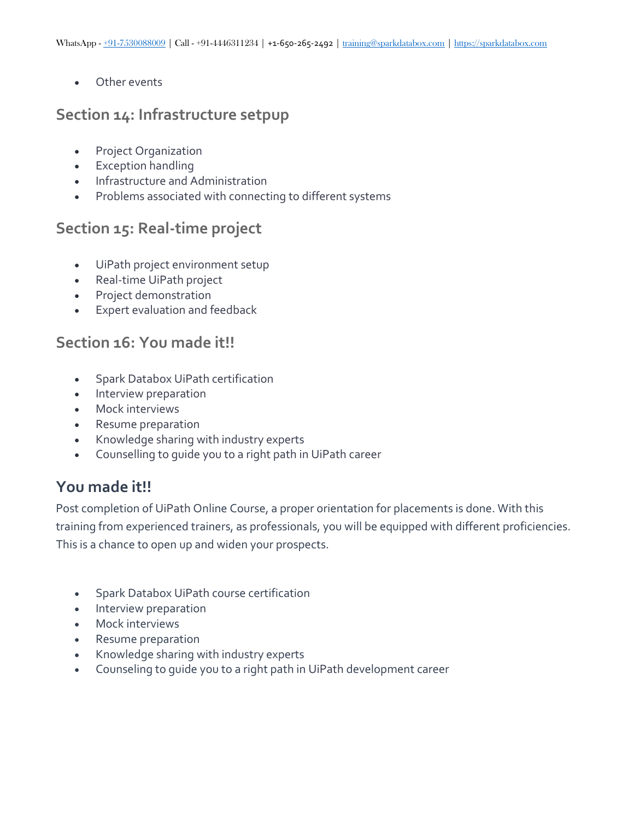Other events

#### **Section 14: Infrastructure setpup**

- Project Organization
- **Exception handling**
- Infrastructure and Administration
- Problems associated with connecting to different systems

# **Section 15: Real-time project**

- UiPath project environment setup
- Real-time UiPath project
- Project demonstration
- Expert evaluation and feedback

### **Section 16: You made it!!**

- Spark Databox UiPath certification
- Interview preparation
- Mock interviews
- Resume preparation
- Knowledge sharing with industry experts
- Counselling to guide you to a right path in UiPath career

# **You made it!!**

Post completion of UiPath Online Course, a proper orientation for placements is done. With this training from experienced trainers, as professionals, you will be equipped with different proficiencies. This is a chance to open up and widen your prospects.

- Spark Databox UiPath course certification
- Interview preparation
- Mock interviews
- Resume preparation
- Knowledge sharing with industry experts
- Counseling to guide you to a right path in UiPath development career